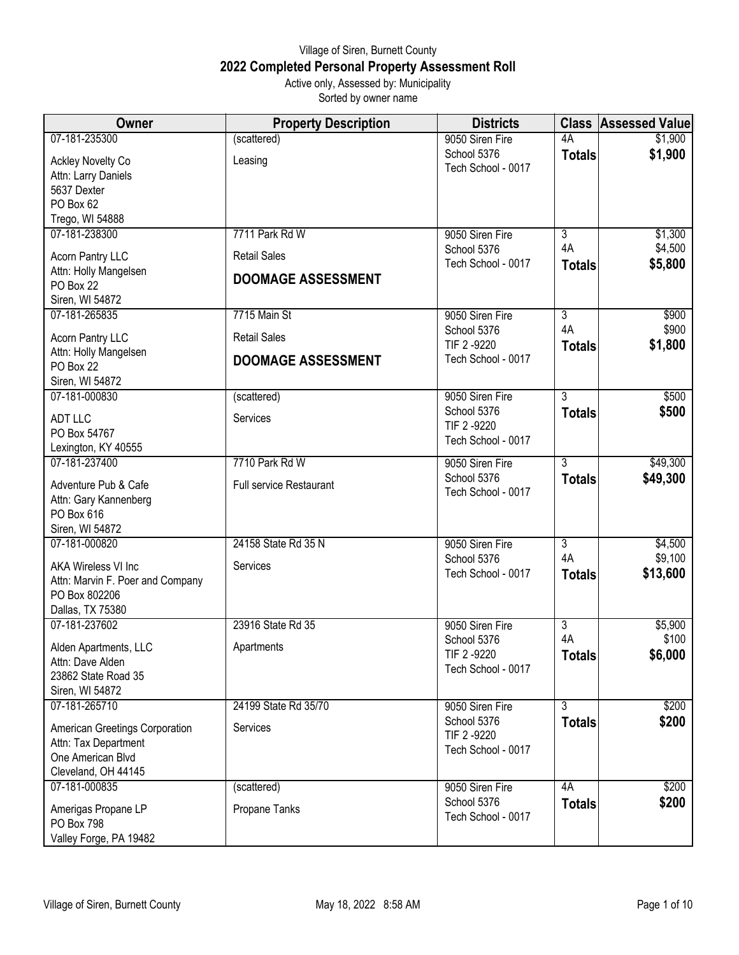## Village of Siren, Burnett County **2022 Completed Personal Property Assessment Roll** Active only, Assessed by: Municipality

Sorted by owner name

| Owner                                     | <b>Property Description</b>    | <b>Districts</b>               |                     | <b>Class Assessed Value</b> |
|-------------------------------------------|--------------------------------|--------------------------------|---------------------|-----------------------------|
| 07-181-235300                             | (scattered)                    | 9050 Siren Fire                | 4A                  | \$1,900                     |
| <b>Ackley Novelty Co</b>                  | Leasing                        | School 5376                    | <b>Totals</b>       | \$1,900                     |
| Attn: Larry Daniels                       |                                | Tech School - 0017             |                     |                             |
| 5637 Dexter                               |                                |                                |                     |                             |
| PO Box 62                                 |                                |                                |                     |                             |
| Trego, WI 54888                           |                                |                                |                     |                             |
| 07-181-238300                             | 7711 Park Rd W                 | 9050 Siren Fire                | $\overline{3}$      | \$1,300                     |
| Acorn Pantry LLC                          | <b>Retail Sales</b>            | School 5376                    | 4A                  | \$4,500                     |
| Attn: Holly Mangelsen                     |                                | Tech School - 0017             | <b>Totals</b>       | \$5,800                     |
| PO Box 22                                 | <b>DOOMAGE ASSESSMENT</b>      |                                |                     |                             |
| Siren, WI 54872                           |                                |                                |                     |                             |
| 07-181-265835                             | 7715 Main St                   | 9050 Siren Fire                | $\overline{3}$      | \$900                       |
| Acorn Pantry LLC                          | <b>Retail Sales</b>            | School 5376<br>TIF 2 -9220     | 4A<br><b>Totals</b> | \$900<br>\$1,800            |
| Attn: Holly Mangelsen                     | <b>DOOMAGE ASSESSMENT</b>      | Tech School - 0017             |                     |                             |
| PO Box 22                                 |                                |                                |                     |                             |
| Siren, WI 54872<br>07-181-000830          | (scattered)                    | 9050 Siren Fire                | $\overline{3}$      | \$500                       |
|                                           |                                | School 5376                    | <b>Totals</b>       | \$500                       |
| <b>ADT LLC</b>                            | Services                       | TIF 2 -9220                    |                     |                             |
| PO Box 54767                              |                                | Tech School - 0017             |                     |                             |
| Lexington, KY 40555                       |                                |                                |                     |                             |
| 07-181-237400                             | 7710 Park Rd W                 | 9050 Siren Fire<br>School 5376 | $\overline{3}$      | \$49,300                    |
| Adventure Pub & Cafe                      | <b>Full service Restaurant</b> | Tech School - 0017             | <b>Totals</b>       | \$49,300                    |
| Attn: Gary Kannenberg                     |                                |                                |                     |                             |
| PO Box 616                                |                                |                                |                     |                             |
| Siren, WI 54872<br>07-181-000820          | 24158 State Rd 35 N            | 9050 Siren Fire                | 3                   | \$4,500                     |
|                                           |                                | School 5376                    | 4A                  | \$9,100                     |
| <b>AKA Wireless VI Inc</b>                | Services                       | Tech School - 0017             | <b>Totals</b>       | \$13,600                    |
| Attn: Marvin F. Poer and Company          |                                |                                |                     |                             |
| PO Box 802206                             |                                |                                |                     |                             |
| Dallas, TX 75380<br>07-181-237602         | 23916 State Rd 35              | 9050 Siren Fire                | $\overline{3}$      | \$5,900                     |
|                                           |                                | School 5376                    | 4A                  | \$100                       |
| Alden Apartments, LLC                     | Apartments                     | TIF 2 -9220                    | <b>Totals</b>       | \$6,000                     |
| Attn: Dave Alden                          |                                | Tech School - 0017             |                     |                             |
| 23862 State Road 35<br>Siren, WI 54872    |                                |                                |                     |                             |
| 07-181-265710                             | 24199 State Rd 35/70           | 9050 Siren Fire                | $\overline{3}$      | \$200                       |
|                                           |                                | School 5376                    | <b>Totals</b>       | \$200                       |
| American Greetings Corporation            | Services                       | TIF 2-9220                     |                     |                             |
| Attn: Tax Department<br>One American Blvd |                                | Tech School - 0017             |                     |                             |
| Cleveland, OH 44145                       |                                |                                |                     |                             |
| 07-181-000835                             | (scattered)                    | 9050 Siren Fire                | 4A                  | \$200                       |
|                                           |                                | School 5376                    | <b>Totals</b>       | \$200                       |
| Amerigas Propane LP                       | Propane Tanks                  | Tech School - 0017             |                     |                             |
| PO Box 798                                |                                |                                |                     |                             |
| Valley Forge, PA 19482                    |                                |                                |                     |                             |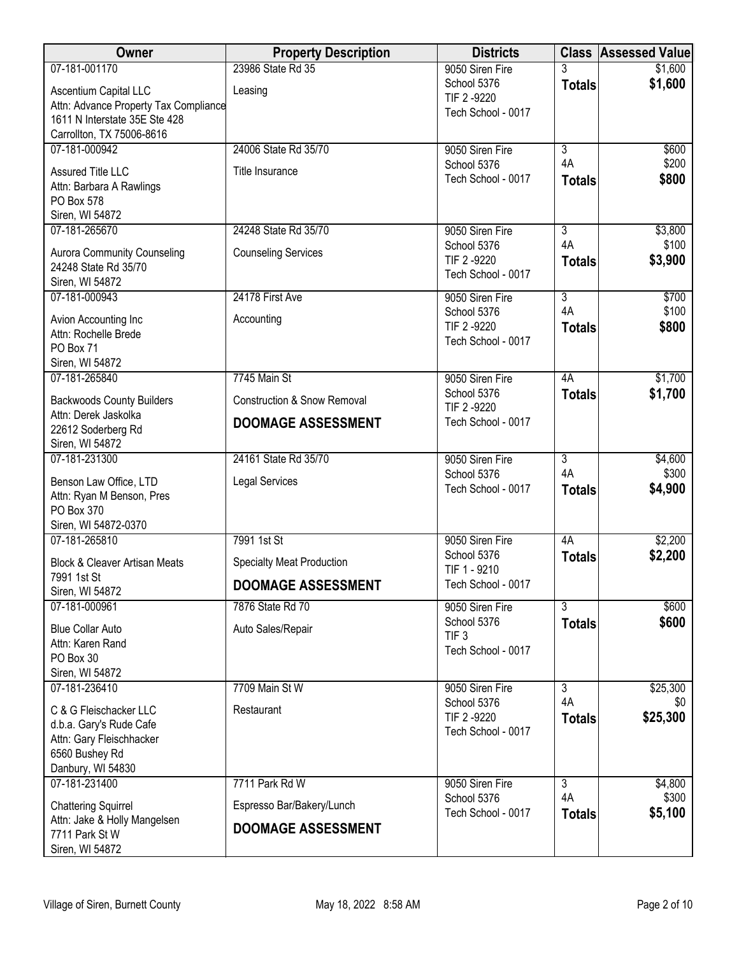| Owner                                                      | <b>Property Description</b>            | <b>Districts</b>                  | <b>Class</b>         | <b>Assessed Value</b> |
|------------------------------------------------------------|----------------------------------------|-----------------------------------|----------------------|-----------------------|
| 07-181-001170                                              | 23986 State Rd 35                      | 9050 Siren Fire                   |                      | \$1,600               |
| Ascentium Capital LLC                                      | Leasing                                | School 5376<br>TIF 2 -9220        | <b>Totals</b>        | \$1,600               |
| Attn: Advance Property Tax Compliance                      |                                        | Tech School - 0017                |                      |                       |
| 1611 N Interstate 35E Ste 428<br>Carrollton, TX 75006-8616 |                                        |                                   |                      |                       |
| 07-181-000942                                              | 24006 State Rd 35/70                   | 9050 Siren Fire                   | $\overline{3}$       | \$600                 |
|                                                            |                                        | School 5376                       | 4A                   | \$200                 |
| Assured Title LLC<br>Attn: Barbara A Rawlings              | Title Insurance                        | Tech School - 0017                | <b>Totals</b>        | \$800                 |
| PO Box 578                                                 |                                        |                                   |                      |                       |
| Siren, WI 54872                                            |                                        |                                   |                      |                       |
| 07-181-265670                                              | 24248 State Rd 35/70                   | 9050 Siren Fire                   | $\overline{3}$       | \$3,800               |
| Aurora Community Counseling                                | <b>Counseling Services</b>             | School 5376<br>TIF 2 -9220        | 4A                   | \$100                 |
| 24248 State Rd 35/70                                       |                                        | Tech School - 0017                | <b>Totals</b>        | \$3,900               |
| Siren, WI 54872                                            |                                        |                                   |                      |                       |
| 07-181-000943                                              | 24178 First Ave                        | 9050 Siren Fire<br>School 5376    | $\overline{3}$<br>4A | \$700<br>\$100        |
| Avion Accounting Inc                                       | Accounting                             | TIF 2 -9220                       | <b>Totals</b>        | \$800                 |
| Attn: Rochelle Brede<br>PO Box 71                          |                                        | Tech School - 0017                |                      |                       |
| Siren, WI 54872                                            |                                        |                                   |                      |                       |
| 07-181-265840                                              | 7745 Main St                           | 9050 Siren Fire                   | 4A                   | \$1,700               |
| <b>Backwoods County Builders</b>                           | <b>Construction &amp; Snow Removal</b> | School 5376                       | <b>Totals</b>        | \$1,700               |
| Attn: Derek Jaskolka                                       |                                        | TIF 2 -9220                       |                      |                       |
| 22612 Soderberg Rd                                         | <b>DOOMAGE ASSESSMENT</b>              | Tech School - 0017                |                      |                       |
| Siren, WI 54872                                            |                                        |                                   |                      |                       |
| 07-181-231300                                              | 24161 State Rd 35/70                   | 9050 Siren Fire<br>School 5376    | $\overline{3}$<br>4A | \$4,600<br>\$300      |
| Benson Law Office, LTD                                     | <b>Legal Services</b>                  | Tech School - 0017                | <b>Totals</b>        | \$4,900               |
| Attn: Ryan M Benson, Pres<br>PO Box 370                    |                                        |                                   |                      |                       |
| Siren, WI 54872-0370                                       |                                        |                                   |                      |                       |
| 07-181-265810                                              | 7991 1st St                            | 9050 Siren Fire                   | 4A                   | \$2,200               |
| <b>Block &amp; Cleaver Artisan Meats</b>                   | <b>Specialty Meat Production</b>       | School 5376<br>TIF 1 - 9210       | <b>Totals</b>        | \$2,200               |
| 7991 1st St                                                | <b>DOOMAGE ASSESSMENT</b>              | Tech School - 0017                |                      |                       |
| Siren, WI 54872<br>07-181-000961                           | 7876 State Rd 70                       | 9050 Siren Fire                   | $\overline{3}$       | \$600                 |
|                                                            |                                        | School 5376                       | <b>Totals</b>        | \$600                 |
| <b>Blue Collar Auto</b><br>Attn: Karen Rand                | Auto Sales/Repair                      | TIF <sub>3</sub>                  |                      |                       |
| PO Box 30                                                  |                                        | Tech School - 0017                |                      |                       |
| Siren, WI 54872                                            |                                        |                                   |                      |                       |
| 07-181-236410                                              | 7709 Main St W                         | 9050 Siren Fire                   | 3                    | \$25,300              |
| C & G Fleischacker LLC                                     | Restaurant                             | School 5376                       | 4A                   | \$0                   |
| d.b.a. Gary's Rude Cafe                                    |                                        | TIF 2 -9220<br>Tech School - 0017 | <b>Totals</b>        | \$25,300              |
| Attn: Gary Fleischhacker                                   |                                        |                                   |                      |                       |
| 6560 Bushey Rd<br>Danbury, WI 54830                        |                                        |                                   |                      |                       |
| 07-181-231400                                              | 7711 Park Rd W                         | 9050 Siren Fire                   | $\overline{3}$       | \$4,800               |
| <b>Chattering Squirrel</b>                                 | Espresso Bar/Bakery/Lunch              | School 5376                       | 4A                   | \$300                 |
| Attn: Jake & Holly Mangelsen                               |                                        | Tech School - 0017                | <b>Totals</b>        | \$5,100               |
| 7711 Park St W                                             | <b>DOOMAGE ASSESSMENT</b>              |                                   |                      |                       |
| Siren, WI 54872                                            |                                        |                                   |                      |                       |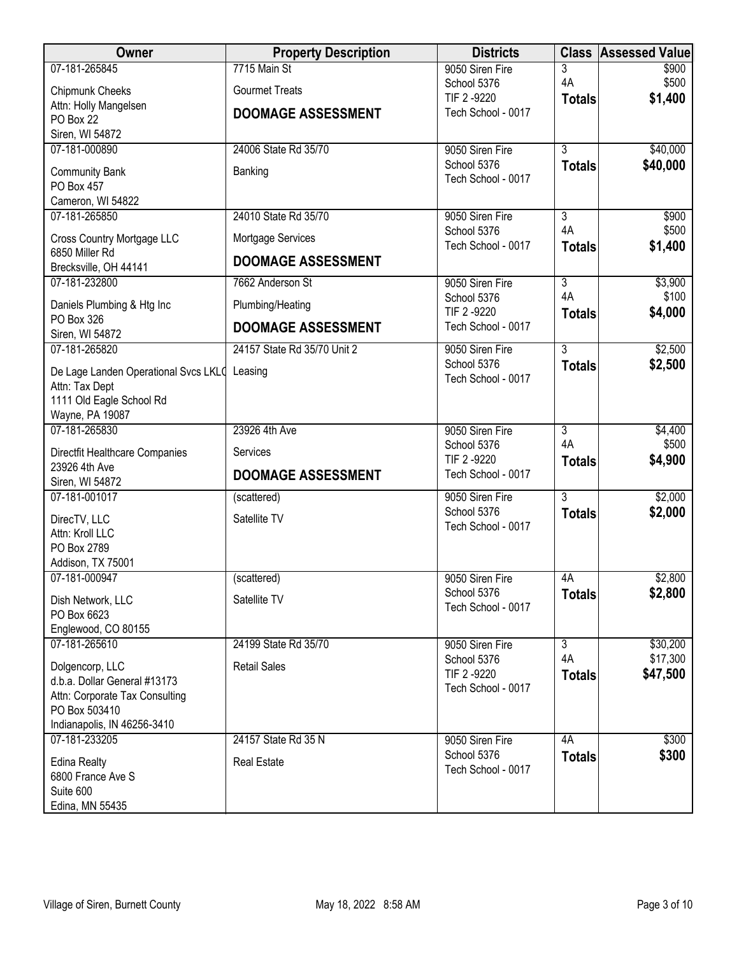| Owner                                                                                                                             | <b>Property Description</b> | <b>Districts</b>                                 |                      | <b>Class Assessed Value</b> |
|-----------------------------------------------------------------------------------------------------------------------------------|-----------------------------|--------------------------------------------------|----------------------|-----------------------------|
| 07-181-265845                                                                                                                     | 7715 Main St                | 9050 Siren Fire                                  | 3<br>4A              | \$900<br>\$500              |
| Chipmunk Cheeks                                                                                                                   | <b>Gourmet Treats</b>       | School 5376<br>TIF 2 -9220                       | <b>Totals</b>        | \$1,400                     |
| Attn: Holly Mangelsen<br>PO Box 22                                                                                                | <b>DOOMAGE ASSESSMENT</b>   | Tech School - 0017                               |                      |                             |
| Siren, WI 54872                                                                                                                   |                             |                                                  |                      |                             |
| 07-181-000890                                                                                                                     | 24006 State Rd 35/70        | 9050 Siren Fire                                  | $\overline{3}$       | \$40,000                    |
| <b>Community Bank</b><br>PO Box 457                                                                                               | Banking                     | School 5376<br>Tech School - 0017                | <b>Totals</b>        | \$40,000                    |
| Cameron, WI 54822                                                                                                                 |                             |                                                  |                      |                             |
| 07-181-265850                                                                                                                     | 24010 State Rd 35/70        | 9050 Siren Fire                                  | $\overline{3}$       | \$900                       |
| Cross Country Mortgage LLC                                                                                                        | Mortgage Services           | School 5376<br>Tech School - 0017                | 4A<br><b>Totals</b>  | \$500<br>\$1,400            |
| 6850 Miller Rd<br>Brecksville, OH 44141                                                                                           | <b>DOOMAGE ASSESSMENT</b>   |                                                  |                      |                             |
| 07-181-232800                                                                                                                     | 7662 Anderson St            | 9050 Siren Fire                                  | $\overline{3}$       | \$3,900                     |
| Daniels Plumbing & Htg Inc                                                                                                        | Plumbing/Heating            | School 5376<br>TIF 2 -9220                       | 4A<br><b>Totals</b>  | \$100<br>\$4,000            |
| PO Box 326<br>Siren, WI 54872                                                                                                     | <b>DOOMAGE ASSESSMENT</b>   | Tech School - 0017                               |                      |                             |
| 07-181-265820                                                                                                                     | 24157 State Rd 35/70 Unit 2 | 9050 Siren Fire                                  | $\overline{3}$       | \$2,500                     |
| De Lage Landen Operational Svcs LKLO<br>Attn: Tax Dept<br>1111 Old Eagle School Rd                                                | Leasing                     | School 5376<br>Tech School - 0017                | <b>Totals</b>        | \$2,500                     |
| Wayne, PA 19087                                                                                                                   |                             |                                                  |                      |                             |
| 07-181-265830                                                                                                                     | 23926 4th Ave               | 9050 Siren Fire<br>School 5376                   | $\overline{3}$<br>4A | \$4,400<br>\$500            |
| Directfit Healthcare Companies                                                                                                    | Services                    | TIF 2 -9220                                      | <b>Totals</b>        | \$4,900                     |
| 23926 4th Ave<br>Siren, WI 54872                                                                                                  | <b>DOOMAGE ASSESSMENT</b>   | Tech School - 0017                               |                      |                             |
| 07-181-001017                                                                                                                     | (scattered)                 | 9050 Siren Fire                                  | $\overline{3}$       | \$2,000                     |
| DirecTV, LLC<br>Attn: Kroll LLC<br>PO Box 2789<br>Addison, TX 75001                                                               | Satellite TV                | School 5376<br>Tech School - 0017                | <b>Totals</b>        | \$2,000                     |
| 07-181-000947                                                                                                                     | (scattered)                 | 9050 Siren Fire                                  | 4A                   | \$2,800                     |
| Dish Network, LLC<br>PO Box 6623<br>Englewood, CO 80155                                                                           | Satellite TV                | School 5376<br>Tech School - 0017                | <b>Totals</b>        | \$2,800                     |
| 07-181-265610                                                                                                                     | 24199 State Rd 35/70        | 9050 Siren Fire                                  | $\overline{3}$       | \$30,200                    |
| Dolgencorp, LLC<br>d.b.a. Dollar General #13173<br>Attn: Corporate Tax Consulting<br>PO Box 503410<br>Indianapolis, IN 46256-3410 | <b>Retail Sales</b>         | School 5376<br>TIF 2 -9220<br>Tech School - 0017 | 4A<br><b>Totals</b>  | \$17,300<br>\$47,500        |
| 07-181-233205                                                                                                                     | 24157 State Rd 35 N         | 9050 Siren Fire                                  | 4A                   | \$300                       |
| <b>Edina Realty</b><br>6800 France Ave S<br>Suite 600<br>Edina, MN 55435                                                          | <b>Real Estate</b>          | School 5376<br>Tech School - 0017                | <b>Totals</b>        | \$300                       |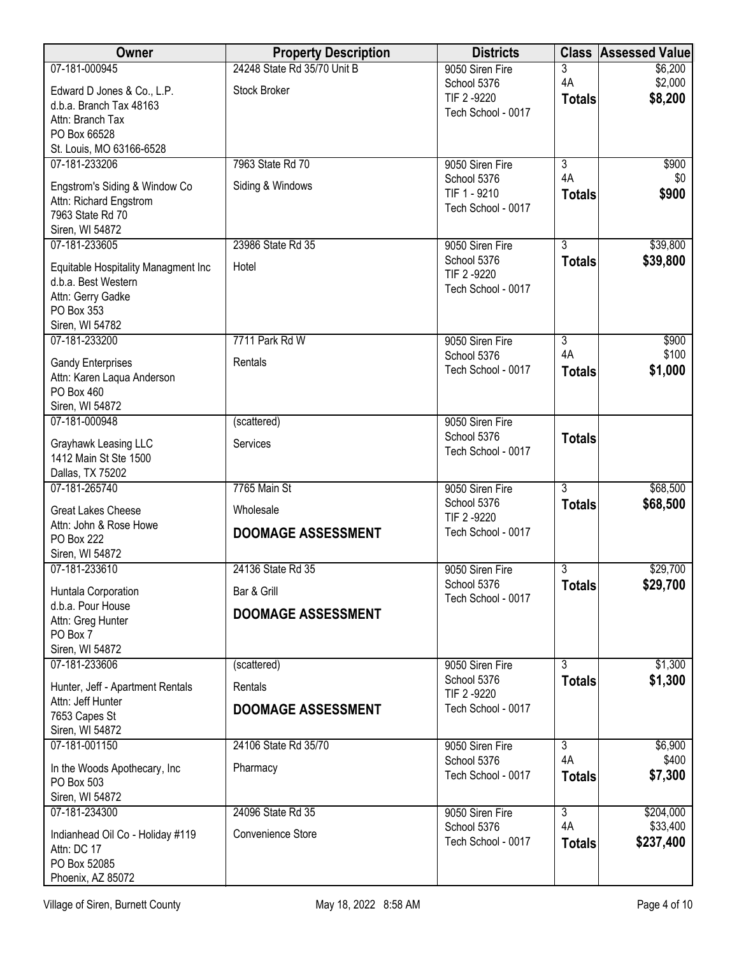| Owner                                                   | <b>Property Description</b> | <b>Districts</b>                  | <b>Class</b>   | <b>Assessed Value</b> |
|---------------------------------------------------------|-----------------------------|-----------------------------------|----------------|-----------------------|
| 07-181-000945                                           | 24248 State Rd 35/70 Unit B | 9050 Siren Fire                   | 3              | \$6,200               |
| Edward D Jones & Co., L.P.                              | <b>Stock Broker</b>         | School 5376<br>TIF 2 -9220        | 4A             | \$2,000               |
| d.b.a. Branch Tax 48163                                 |                             | Tech School - 0017                | <b>Totals</b>  | \$8,200               |
| Attn: Branch Tax                                        |                             |                                   |                |                       |
| PO Box 66528<br>St. Louis, MO 63166-6528                |                             |                                   |                |                       |
| 07-181-233206                                           | 7963 State Rd 70            | 9050 Siren Fire                   | $\overline{3}$ | \$900                 |
|                                                         |                             | School 5376                       | 4A             | \$0                   |
| Engstrom's Siding & Window Co<br>Attn: Richard Engstrom | Siding & Windows            | TIF 1 - 9210                      | <b>Totals</b>  | \$900                 |
| 7963 State Rd 70                                        |                             | Tech School - 0017                |                |                       |
| Siren, WI 54872                                         |                             |                                   |                |                       |
| 07-181-233605                                           | 23986 State Rd 35           | 9050 Siren Fire                   | $\overline{3}$ | \$39,800              |
| Equitable Hospitality Managment Inc                     | Hotel                       | School 5376<br>TIF 2 -9220        | <b>Totals</b>  | \$39,800              |
| d.b.a. Best Western                                     |                             | Tech School - 0017                |                |                       |
| Attn: Gerry Gadke<br>PO Box 353                         |                             |                                   |                |                       |
| Siren, WI 54782                                         |                             |                                   |                |                       |
| 07-181-233200                                           | 7711 Park Rd W              | 9050 Siren Fire                   | $\overline{3}$ | \$900                 |
| <b>Gandy Enterprises</b>                                | Rentals                     | School 5376                       | 4A             | \$100                 |
| Attn: Karen Laqua Anderson                              |                             | Tech School - 0017                | <b>Totals</b>  | \$1,000               |
| PO Box 460                                              |                             |                                   |                |                       |
| Siren, WI 54872                                         |                             |                                   |                |                       |
| 07-181-000948                                           | (scattered)                 | 9050 Siren Fire                   |                |                       |
| Grayhawk Leasing LLC                                    | Services                    | School 5376<br>Tech School - 0017 | <b>Totals</b>  |                       |
| 1412 Main St Ste 1500                                   |                             |                                   |                |                       |
| Dallas, TX 75202<br>07-181-265740                       | 7765 Main St                | 9050 Siren Fire                   | $\overline{3}$ | \$68,500              |
|                                                         |                             | School 5376                       | <b>Totals</b>  | \$68,500              |
| <b>Great Lakes Cheese</b>                               | Wholesale                   | TIF 2 -9220                       |                |                       |
| Attn: John & Rose Howe<br>PO Box 222                    | <b>DOOMAGE ASSESSMENT</b>   | Tech School - 0017                |                |                       |
| Siren, WI 54872                                         |                             |                                   |                |                       |
| 07-181-233610                                           | 24136 State Rd 35           | 9050 Siren Fire                   | 3              | \$29,700              |
| Huntala Corporation                                     | Bar & Grill                 | School 5376                       | <b>Totals</b>  | \$29,700              |
| d.b.a. Pour House                                       |                             | Tech School - 0017                |                |                       |
| Attn: Greg Hunter                                       | <b>DOOMAGE ASSESSMENT</b>   |                                   |                |                       |
| PO Box 7                                                |                             |                                   |                |                       |
| Siren, WI 54872<br>07-181-233606                        | (scattered)                 | 9050 Siren Fire                   | $\overline{3}$ | \$1,300               |
| Hunter, Jeff - Apartment Rentals                        | Rentals                     | School 5376                       | <b>Totals</b>  | \$1,300               |
| Attn: Jeff Hunter                                       |                             | TIF 2 -9220                       |                |                       |
| 7653 Capes St                                           | <b>DOOMAGE ASSESSMENT</b>   | Tech School - 0017                |                |                       |
| Siren, WI 54872                                         |                             |                                   |                |                       |
| 07-181-001150                                           | 24106 State Rd 35/70        | 9050 Siren Fire<br>School 5376    | 3<br>4A        | \$6,900<br>\$400      |
| In the Woods Apothecary, Inc.                           | Pharmacy                    | Tech School - 0017                | <b>Totals</b>  | \$7,300               |
| PO Box 503                                              |                             |                                   |                |                       |
| Siren, WI 54872<br>07-181-234300                        | 24096 State Rd 35           | 9050 Siren Fire                   | $\overline{3}$ | \$204,000             |
|                                                         |                             | School 5376                       | 4A             | \$33,400              |
| Indianhead Oil Co - Holiday #119<br>Attn: DC 17         | Convenience Store           | Tech School - 0017                | <b>Totals</b>  | \$237,400             |
| PO Box 52085                                            |                             |                                   |                |                       |
| Phoenix, AZ 85072                                       |                             |                                   |                |                       |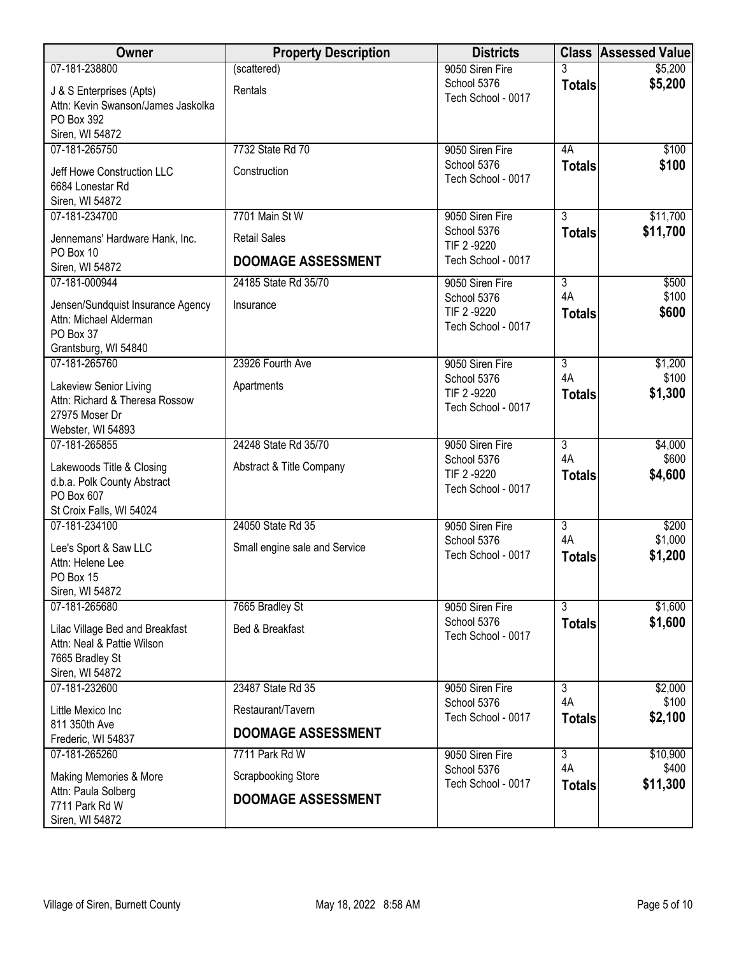| Owner                                                         | <b>Property Description</b>   | <b>Districts</b>                  |                | <b>Class Assessed Value</b> |
|---------------------------------------------------------------|-------------------------------|-----------------------------------|----------------|-----------------------------|
| 07-181-238800                                                 | (scattered)                   | 9050 Siren Fire                   | 3              | \$5,200                     |
| J & S Enterprises (Apts)                                      | Rentals                       | School 5376                       | <b>Totals</b>  | \$5,200                     |
| Attn: Kevin Swanson/James Jaskolka                            |                               | Tech School - 0017                |                |                             |
| PO Box 392                                                    |                               |                                   |                |                             |
| Siren, WI 54872<br>07-181-265750                              | 7732 State Rd 70              |                                   |                |                             |
|                                                               |                               | 9050 Siren Fire<br>School 5376    | 4A             | \$100<br>\$100              |
| Jeff Howe Construction LLC                                    | Construction                  | Tech School - 0017                | <b>Totals</b>  |                             |
| 6684 Lonestar Rd                                              |                               |                                   |                |                             |
| Siren, WI 54872<br>07-181-234700                              | 7701 Main St W                | 9050 Siren Fire                   | $\overline{3}$ | \$11,700                    |
|                                                               |                               | School 5376                       | <b>Totals</b>  | \$11,700                    |
| Jennemans' Hardware Hank, Inc.                                | <b>Retail Sales</b>           | TIF 2 -9220                       |                |                             |
| PO Box 10<br>Siren, WI 54872                                  | <b>DOOMAGE ASSESSMENT</b>     | Tech School - 0017                |                |                             |
| 07-181-000944                                                 | 24185 State Rd 35/70          | 9050 Siren Fire                   | $\overline{3}$ | \$500                       |
|                                                               |                               | School 5376                       | 4A             | \$100                       |
| Jensen/Sundquist Insurance Agency<br>Attn: Michael Alderman   | Insurance                     | TIF 2 -9220                       | <b>Totals</b>  | \$600                       |
| PO Box 37                                                     |                               | Tech School - 0017                |                |                             |
| Grantsburg, WI 54840                                          |                               |                                   |                |                             |
| 07-181-265760                                                 | 23926 Fourth Ave              | 9050 Siren Fire                   | $\overline{3}$ | \$1,200                     |
| Lakeview Senior Living                                        | Apartments                    | School 5376                       | 4A             | \$100                       |
| Attn: Richard & Theresa Rossow                                |                               | TIF 2 -9220                       | <b>Totals</b>  | \$1,300                     |
| 27975 Moser Dr                                                |                               | Tech School - 0017                |                |                             |
| Webster, WI 54893                                             |                               |                                   |                |                             |
| 07-181-265855                                                 | 24248 State Rd 35/70          | 9050 Siren Fire                   | $\overline{3}$ | \$4,000                     |
| Lakewoods Title & Closing                                     | Abstract & Title Company      | School 5376<br>TIF 2 -9220        | 4A             | \$600                       |
| d.b.a. Polk County Abstract                                   |                               | Tech School - 0017                | <b>Totals</b>  | \$4,600                     |
| PO Box 607                                                    |                               |                                   |                |                             |
| St Croix Falls, WI 54024<br>07-181-234100                     | 24050 State Rd 35             | 9050 Siren Fire                   | $\overline{3}$ | \$200                       |
|                                                               |                               | School 5376                       | 4A             | \$1,000                     |
| Lee's Sport & Saw LLC                                         | Small engine sale and Service | Tech School - 0017                | <b>Totals</b>  | \$1,200                     |
| Attn: Helene Lee<br>PO Box 15                                 |                               |                                   |                |                             |
| Siren, WI 54872                                               |                               |                                   |                |                             |
| 07-181-265680                                                 | 7665 Bradley St               | 9050 Siren Fire                   | $\overline{3}$ | \$1,600                     |
|                                                               | Bed & Breakfast               | School 5376                       | <b>Totals</b>  | \$1,600                     |
| Lilac Village Bed and Breakfast<br>Attn: Neal & Pattie Wilson |                               | Tech School - 0017                |                |                             |
| 7665 Bradley St                                               |                               |                                   |                |                             |
| Siren, WI 54872                                               |                               |                                   |                |                             |
| 07-181-232600                                                 | 23487 State Rd 35             | 9050 Siren Fire                   | $\overline{3}$ | \$2,000                     |
| Little Mexico Inc                                             | Restaurant/Tavern             | School 5376                       | 4A             | \$100                       |
| 811 350th Ave                                                 | <b>DOOMAGE ASSESSMENT</b>     | Tech School - 0017                | <b>Totals</b>  | \$2,100                     |
| Frederic, WI 54837                                            |                               |                                   |                |                             |
| 07-181-265260                                                 | 7711 Park Rd W                | 9050 Siren Fire                   | $\overline{3}$ | \$10,900                    |
| Making Memories & More                                        | <b>Scrapbooking Store</b>     | School 5376<br>Tech School - 0017 | 4A             | \$400<br>\$11,300           |
| Attn: Paula Solberg                                           | <b>DOOMAGE ASSESSMENT</b>     |                                   | <b>Totals</b>  |                             |
| 7711 Park Rd W                                                |                               |                                   |                |                             |
| Siren, WI 54872                                               |                               |                                   |                |                             |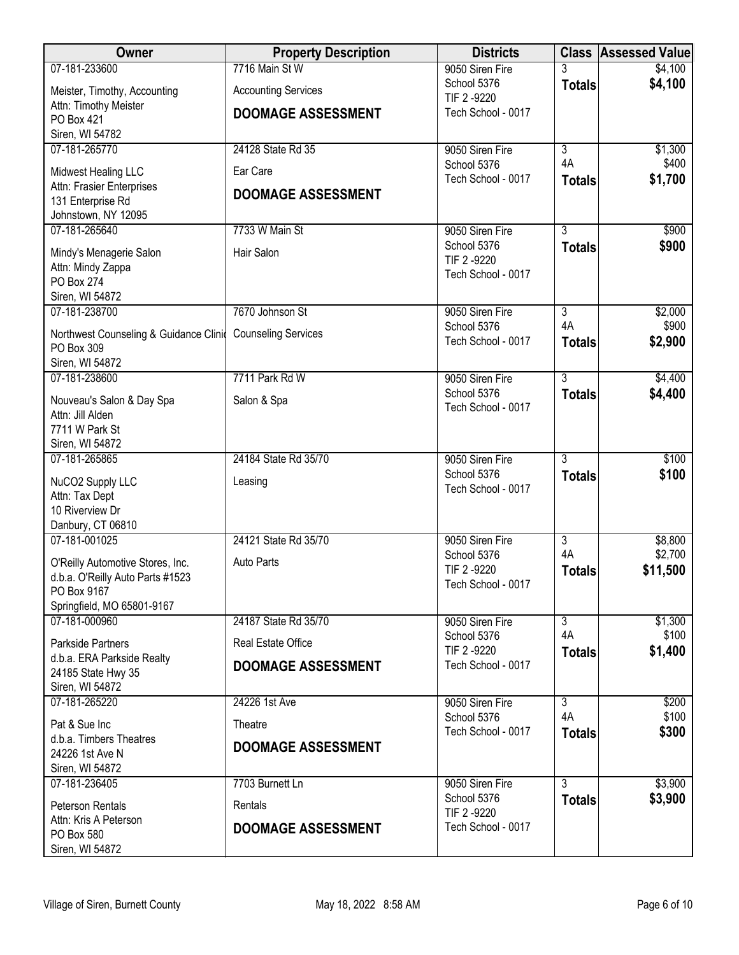| Owner                                           | <b>Property Description</b> | <b>Districts</b>               |                           | <b>Class Assessed Value</b> |
|-------------------------------------------------|-----------------------------|--------------------------------|---------------------------|-----------------------------|
| 07-181-233600                                   | 7716 Main St W              | 9050 Siren Fire                |                           | \$4,100                     |
| Meister, Timothy, Accounting                    | <b>Accounting Services</b>  | School 5376<br>TIF 2 -9220     | <b>Totals</b>             | \$4,100                     |
| Attn: Timothy Meister<br>PO Box 421             | <b>DOOMAGE ASSESSMENT</b>   | Tech School - 0017             |                           |                             |
| Siren, WI 54782                                 |                             |                                |                           |                             |
| 07-181-265770                                   | 24128 State Rd 35           | 9050 Siren Fire                | $\overline{3}$            | \$1,300                     |
| Midwest Healing LLC                             | Ear Care                    | School 5376                    | 4A                        | \$400                       |
| Attn: Frasier Enterprises                       | <b>DOOMAGE ASSESSMENT</b>   | Tech School - 0017             | <b>Totals</b>             | \$1,700                     |
| 131 Enterprise Rd                               |                             |                                |                           |                             |
| Johnstown, NY 12095<br>07-181-265640            | 7733 W Main St              | 9050 Siren Fire                | $\overline{3}$            | \$900                       |
|                                                 |                             | School 5376                    | <b>Totals</b>             | \$900                       |
| Mindy's Menagerie Salon<br>Attn: Mindy Zappa    | Hair Salon                  | TIF 2 -9220                    |                           |                             |
| PO Box 274                                      |                             | Tech School - 0017             |                           |                             |
| Siren, WI 54872                                 |                             |                                |                           |                             |
| 07-181-238700                                   | 7670 Johnson St             | 9050 Siren Fire<br>School 5376 | $\overline{3}$<br>4A      | \$2,000<br>\$900            |
| Northwest Counseling & Guidance Clinid          | <b>Counseling Services</b>  | Tech School - 0017             | <b>Totals</b>             | \$2,900                     |
| PO Box 309<br>Siren, WI 54872                   |                             |                                |                           |                             |
| 07-181-238600                                   | 7711 Park Rd W              | 9050 Siren Fire                | $\overline{3}$            | \$4,400                     |
| Nouveau's Salon & Day Spa                       | Salon & Spa                 | School 5376                    | <b>Totals</b>             | \$4,400                     |
| Attn: Jill Alden                                |                             | Tech School - 0017             |                           |                             |
| 7711 W Park St                                  |                             |                                |                           |                             |
| Siren, WI 54872<br>07-181-265865                | 24184 State Rd 35/70        | 9050 Siren Fire                | $\overline{3}$            | \$100                       |
|                                                 |                             | School 5376                    | <b>Totals</b>             | \$100                       |
| NuCO2 Supply LLC<br>Attn: Tax Dept              | Leasing                     | Tech School - 0017             |                           |                             |
| 10 Riverview Dr                                 |                             |                                |                           |                             |
| Danbury, CT 06810                               |                             |                                |                           |                             |
| 07-181-001025                                   | 24121 State Rd 35/70        | 9050 Siren Fire<br>School 5376 | $\overline{3}$<br>4A      | \$8,800<br>\$2,700          |
| O'Reilly Automotive Stores, Inc.                | Auto Parts                  | TIF 2 -9220                    | <b>Totals</b>             | \$11,500                    |
| d.b.a. O'Reilly Auto Parts #1523<br>PO Box 9167 |                             | Tech School - 0017             |                           |                             |
| Springfield, MO 65801-9167                      |                             |                                |                           |                             |
| 07-181-000960                                   | 24187 State Rd 35/70        | 9050 Siren Fire                | $\overline{\overline{3}}$ | \$1,300                     |
| Parkside Partners                               | Real Estate Office          | School 5376<br>TIF 2 -9220     | 4A<br><b>Totals</b>       | \$100<br>\$1,400            |
| d.b.a. ERA Parkside Realty                      | <b>DOOMAGE ASSESSMENT</b>   | Tech School - 0017             |                           |                             |
| 24185 State Hwy 35<br>Siren, WI 54872           |                             |                                |                           |                             |
| 07-181-265220                                   | 24226 1st Ave               | 9050 Siren Fire                | $\overline{3}$            | \$200                       |
| Pat & Sue Inc                                   | Theatre                     | School 5376                    | 4A                        | \$100                       |
| d.b.a. Timbers Theatres                         | <b>DOOMAGE ASSESSMENT</b>   | Tech School - 0017             | <b>Totals</b>             | \$300                       |
| 24226 1st Ave N                                 |                             |                                |                           |                             |
| Siren, WI 54872<br>07-181-236405                | 7703 Burnett Ln             | 9050 Siren Fire                | $\overline{3}$            | \$3,900                     |
|                                                 |                             | School 5376                    | <b>Totals</b>             | \$3,900                     |
| Peterson Rentals<br>Attn: Kris A Peterson       | Rentals                     | TIF 2 -9220                    |                           |                             |
| PO Box 580                                      | <b>DOOMAGE ASSESSMENT</b>   | Tech School - 0017             |                           |                             |
| Siren, WI 54872                                 |                             |                                |                           |                             |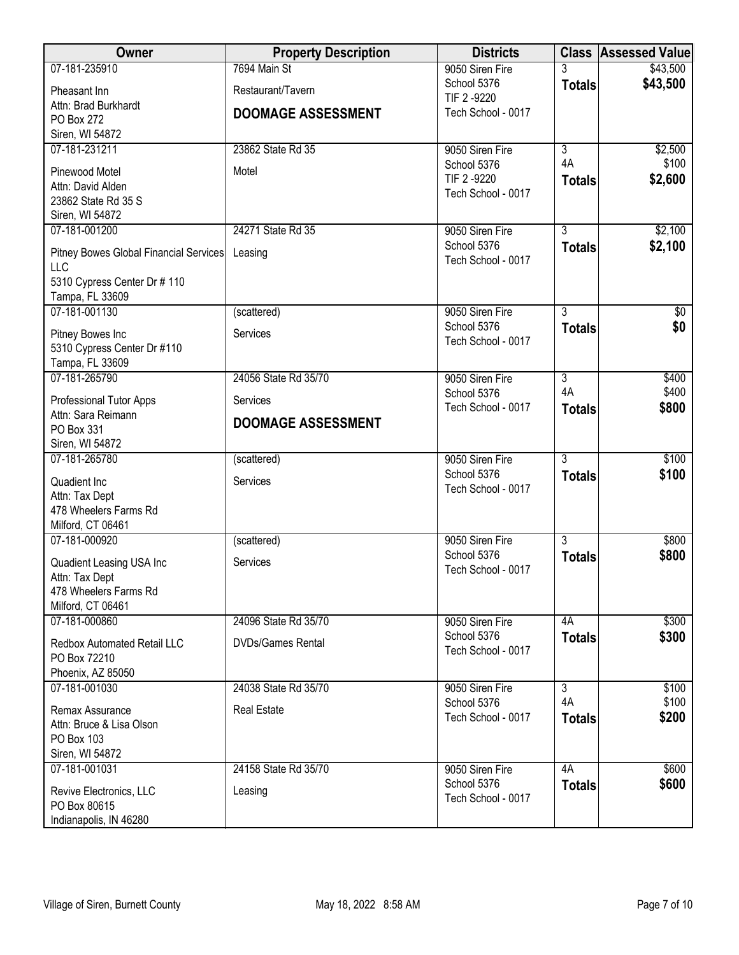| <b>Owner</b>                                  | <b>Property Description</b> | <b>Districts</b>                  |                      | <b>Class Assessed Value</b> |
|-----------------------------------------------|-----------------------------|-----------------------------------|----------------------|-----------------------------|
| 07-181-235910                                 | 7694 Main St                | 9050 Siren Fire                   |                      | \$43,500                    |
| Pheasant Inn                                  | Restaurant/Tavern           | School 5376<br>TIF 2 -9220        | <b>Totals</b>        | \$43,500                    |
| Attn: Brad Burkhardt                          | <b>DOOMAGE ASSESSMENT</b>   | Tech School - 0017                |                      |                             |
| PO Box 272                                    |                             |                                   |                      |                             |
| Siren, WI 54872                               | 23862 State Rd 35           |                                   |                      |                             |
| 07-181-231211                                 |                             | 9050 Siren Fire<br>School 5376    | $\overline{3}$<br>4A | \$2,500<br>\$100            |
| Pinewood Motel                                | Motel                       | TIF 2 -9220                       | <b>Totals</b>        | \$2,600                     |
| Attn: David Alden                             |                             | Tech School - 0017                |                      |                             |
| 23862 State Rd 35 S<br>Siren, WI 54872        |                             |                                   |                      |                             |
| 07-181-001200                                 | 24271 State Rd 35           | 9050 Siren Fire                   | $\overline{3}$       | \$2,100                     |
|                                               |                             | School 5376                       | <b>Totals</b>        | \$2,100                     |
| Pitney Bowes Global Financial Services<br>LLC | Leasing                     | Tech School - 0017                |                      |                             |
| 5310 Cypress Center Dr # 110                  |                             |                                   |                      |                             |
| Tampa, FL 33609                               |                             |                                   |                      |                             |
| 07-181-001130                                 | (scattered)                 | 9050 Siren Fire                   | $\overline{3}$       | \$0                         |
| Pitney Bowes Inc                              | Services                    | School 5376                       | <b>Totals</b>        | \$0                         |
| 5310 Cypress Center Dr #110                   |                             | Tech School - 0017                |                      |                             |
| Tampa, FL 33609                               |                             |                                   |                      |                             |
| 07-181-265790                                 | 24056 State Rd 35/70        | 9050 Siren Fire                   | $\overline{3}$       | \$400                       |
| <b>Professional Tutor Apps</b>                | Services                    | School 5376                       | 4A                   | \$400                       |
| Attn: Sara Reimann                            | <b>DOOMAGE ASSESSMENT</b>   | Tech School - 0017                | <b>Totals</b>        | \$800                       |
| PO Box 331                                    |                             |                                   |                      |                             |
| Siren, WI 54872                               |                             |                                   |                      |                             |
| 07-181-265780                                 | (scattered)                 | 9050 Siren Fire<br>School 5376    | $\overline{3}$       | \$100<br>\$100              |
| Quadient Inc                                  | Services                    | Tech School - 0017                | <b>Totals</b>        |                             |
| Attn: Tax Dept<br>478 Wheelers Farms Rd       |                             |                                   |                      |                             |
| Milford, CT 06461                             |                             |                                   |                      |                             |
| 07-181-000920                                 | (scattered)                 | 9050 Siren Fire                   | $\overline{3}$       | \$800                       |
|                                               |                             | School 5376                       | <b>Totals</b>        | \$800                       |
| Quadient Leasing USA Inc<br>Attn: Tax Dept    | Services                    | Tech School - 0017                |                      |                             |
| 478 Wheelers Farms Rd                         |                             |                                   |                      |                             |
| Milford, CT 06461                             |                             |                                   |                      |                             |
| 07-181-000860                                 | 24096 State Rd 35/70        | 9050 Siren Fire                   | 4A                   | \$300                       |
| <b>Redbox Automated Retail LLC</b>            | <b>DVDs/Games Rental</b>    | School 5376                       | <b>Totals</b>        | \$300                       |
| PO Box 72210                                  |                             | Tech School - 0017                |                      |                             |
| Phoenix, AZ 85050                             |                             |                                   |                      |                             |
| 07-181-001030                                 | 24038 State Rd 35/70        | 9050 Siren Fire                   | $\overline{3}$       | \$100                       |
| Remax Assurance                               | <b>Real Estate</b>          | School 5376<br>Tech School - 0017 | 4A                   | \$100<br>\$200              |
| Attn: Bruce & Lisa Olson                      |                             |                                   | <b>Totals</b>        |                             |
| PO Box 103                                    |                             |                                   |                      |                             |
| Siren, WI 54872<br>07-181-001031              | 24158 State Rd 35/70        | 9050 Siren Fire                   | 4A                   | \$600                       |
|                                               |                             | School 5376                       | <b>Totals</b>        | \$600                       |
| Revive Electronics, LLC<br>PO Box 80615       | Leasing                     | Tech School - 0017                |                      |                             |
| Indianapolis, IN 46280                        |                             |                                   |                      |                             |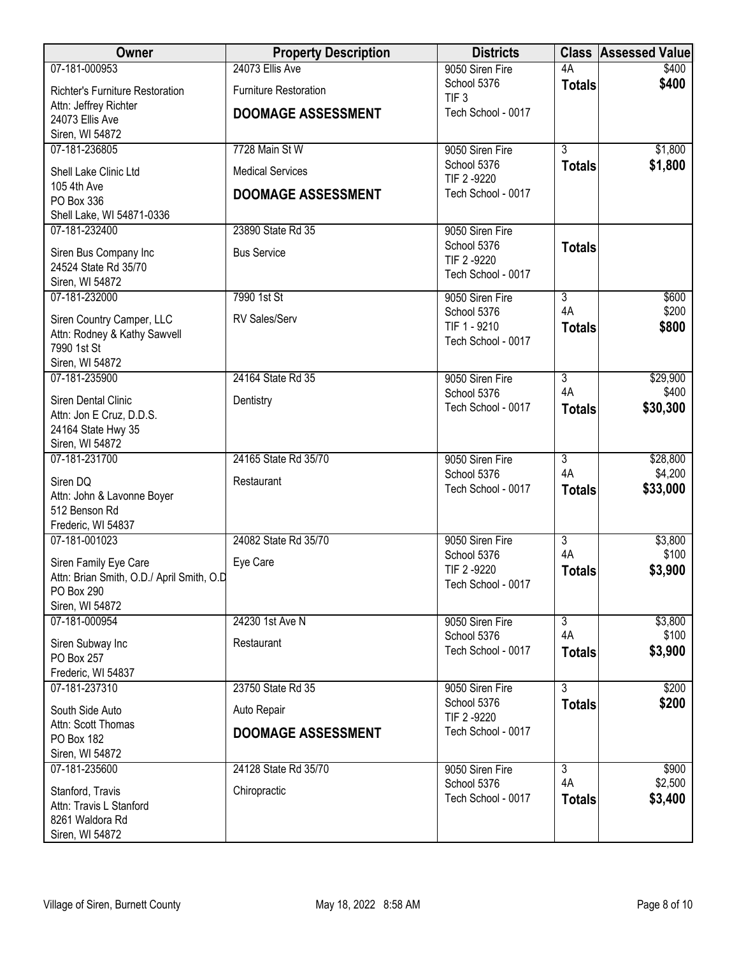| Owner                                       | <b>Property Description</b>  | <b>Districts</b>                  |                           | <b>Class Assessed Value</b> |
|---------------------------------------------|------------------------------|-----------------------------------|---------------------------|-----------------------------|
| 07-181-000953                               | 24073 Ellis Ave              | 9050 Siren Fire                   | 4A                        | \$400                       |
| <b>Richter's Furniture Restoration</b>      | <b>Furniture Restoration</b> | School 5376<br>TIF <sub>3</sub>   | <b>Totals</b>             | \$400                       |
| Attn: Jeffrey Richter                       | <b>DOOMAGE ASSESSMENT</b>    | Tech School - 0017                |                           |                             |
| 24073 Ellis Ave<br>Siren, WI 54872          |                              |                                   |                           |                             |
| 07-181-236805                               | 7728 Main St W               | 9050 Siren Fire                   | $\overline{3}$            | \$1,800                     |
|                                             |                              | School 5376                       | <b>Totals</b>             | \$1,800                     |
| Shell Lake Clinic Ltd<br>105 4th Ave        | <b>Medical Services</b>      | TIF 2 -9220                       |                           |                             |
| PO Box 336                                  | <b>DOOMAGE ASSESSMENT</b>    | Tech School - 0017                |                           |                             |
| Shell Lake, WI 54871-0336                   |                              |                                   |                           |                             |
| 07-181-232400                               | 23890 State Rd 35            | 9050 Siren Fire                   |                           |                             |
| Siren Bus Company Inc                       | <b>Bus Service</b>           | School 5376<br>TIF 2 -9220        | <b>Totals</b>             |                             |
| 24524 State Rd 35/70                        |                              | Tech School - 0017                |                           |                             |
| Siren, WI 54872                             |                              |                                   |                           |                             |
| 07-181-232000                               | 7990 1st St                  | 9050 Siren Fire<br>School 5376    | $\overline{3}$<br>4A      | \$600<br>\$200              |
| Siren Country Camper, LLC                   | RV Sales/Serv                | TIF 1 - 9210                      | <b>Totals</b>             | \$800                       |
| Attn: Rodney & Kathy Sawvell<br>7990 1st St |                              | Tech School - 0017                |                           |                             |
| Siren, WI 54872                             |                              |                                   |                           |                             |
| 07-181-235900                               | 24164 State Rd 35            | 9050 Siren Fire                   | $\overline{3}$            | \$29,900                    |
| Siren Dental Clinic                         | Dentistry                    | School 5376                       | 4A                        | \$400                       |
| Attn: Jon E Cruz, D.D.S.                    |                              | Tech School - 0017                | <b>Totals</b>             | \$30,300                    |
| 24164 State Hwy 35                          |                              |                                   |                           |                             |
| Siren, WI 54872                             |                              |                                   | $\overline{3}$            |                             |
| 07-181-231700                               | 24165 State Rd 35/70         | 9050 Siren Fire<br>School 5376    | 4A                        | \$28,800<br>\$4,200         |
| Siren DQ                                    | Restaurant                   | Tech School - 0017                | <b>Totals</b>             | \$33,000                    |
| Attn: John & Lavonne Boyer<br>512 Benson Rd |                              |                                   |                           |                             |
| Frederic, WI 54837                          |                              |                                   |                           |                             |
| 07-181-001023                               | 24082 State Rd 35/70         | 9050 Siren Fire                   | $\overline{3}$            | \$3,800                     |
| Siren Family Eye Care                       | Eye Care                     | School 5376                       | 4A                        | \$100                       |
| Attn: Brian Smith, O.D./ April Smith, O.D   |                              | TIF 2 -9220<br>Tech School - 0017 | <b>Totals</b>             | \$3,900                     |
| PO Box 290                                  |                              |                                   |                           |                             |
| Siren, WI 54872<br>07-181-000954            | 24230 1st Ave N              | 9050 Siren Fire                   | $\overline{\overline{3}}$ | \$3,800                     |
|                                             |                              | School 5376                       | 4A                        | \$100                       |
| Siren Subway Inc<br>PO Box 257              | Restaurant                   | Tech School - 0017                | <b>Totals</b>             | \$3,900                     |
| Frederic, WI 54837                          |                              |                                   |                           |                             |
| 07-181-237310                               | 23750 State Rd 35            | 9050 Siren Fire                   | $\overline{3}$            | \$200                       |
| South Side Auto                             | Auto Repair                  | School 5376                       | <b>Totals</b>             | \$200                       |
| Attn: Scott Thomas                          |                              | TIF 2 -9220                       |                           |                             |
| PO Box 182                                  | <b>DOOMAGE ASSESSMENT</b>    | Tech School - 0017                |                           |                             |
| Siren, WI 54872                             |                              |                                   |                           |                             |
| 07-181-235600                               | 24128 State Rd 35/70         | 9050 Siren Fire<br>School 5376    | $\overline{3}$<br>4A      | \$900<br>\$2,500            |
| Stanford, Travis                            | Chiropractic                 | Tech School - 0017                | <b>Totals</b>             | \$3,400                     |
| Attn: Travis L Stanford<br>8261 Waldora Rd  |                              |                                   |                           |                             |
| Siren, WI 54872                             |                              |                                   |                           |                             |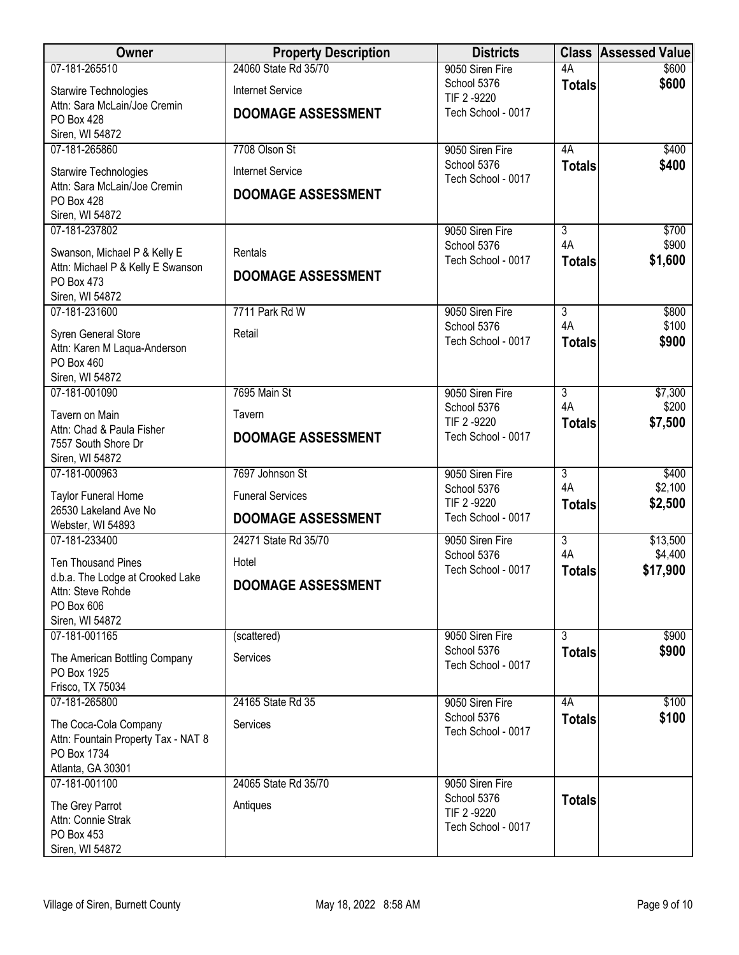| Owner                                                                                            | <b>Property Description</b> | <b>Districts</b>                                 |                      | <b>Class Assessed Value</b> |
|--------------------------------------------------------------------------------------------------|-----------------------------|--------------------------------------------------|----------------------|-----------------------------|
| 07-181-265510                                                                                    | 24060 State Rd 35/70        | 9050 Siren Fire                                  | 4A                   | \$600                       |
| Starwire Technologies                                                                            | <b>Internet Service</b>     | School 5376<br>TIF 2 -9220                       | <b>Totals</b>        | \$600                       |
| Attn: Sara McLain/Joe Cremin<br>PO Box 428<br>Siren, WI 54872                                    | <b>DOOMAGE ASSESSMENT</b>   | Tech School - 0017                               |                      |                             |
| 07-181-265860                                                                                    | 7708 Olson St               | 9050 Siren Fire                                  | 4A                   | \$400                       |
| Starwire Technologies                                                                            | <b>Internet Service</b>     | School 5376                                      | <b>Totals</b>        | \$400                       |
| Attn: Sara McLain/Joe Cremin<br>PO Box 428<br>Siren, WI 54872                                    | <b>DOOMAGE ASSESSMENT</b>   | Tech School - 0017                               |                      |                             |
| 07-181-237802                                                                                    |                             | 9050 Siren Fire                                  | 3                    | \$700                       |
| Swanson, Michael P & Kelly E                                                                     | Rentals                     | School 5376<br>Tech School - 0017                | 4A<br><b>Totals</b>  | \$900<br>\$1,600            |
| Attn: Michael P & Kelly E Swanson<br>PO Box 473<br>Siren, WI 54872                               | <b>DOOMAGE ASSESSMENT</b>   |                                                  |                      |                             |
| 07-181-231600                                                                                    | 7711 Park Rd W              | 9050 Siren Fire                                  | $\overline{3}$       | \$800                       |
| Syren General Store<br>Attn: Karen M Laqua-Anderson<br>PO Box 460                                | Retail                      | School 5376<br>Tech School - 0017                | 4A<br><b>Totals</b>  | \$100<br>\$900              |
| Siren, WI 54872                                                                                  |                             |                                                  |                      |                             |
| 07-181-001090                                                                                    | 7695 Main St                | 9050 Siren Fire<br>School 5376                   | $\overline{3}$<br>4A | \$7,300<br>\$200            |
| Tavern on Main<br>Attn: Chad & Paula Fisher                                                      | Tavern                      | TIF 2 -9220                                      | <b>Totals</b>        | \$7,500                     |
| 7557 South Shore Dr<br>Siren, WI 54872                                                           | <b>DOOMAGE ASSESSMENT</b>   | Tech School - 0017                               |                      |                             |
| 07-181-000963                                                                                    | 7697 Johnson St             | 9050 Siren Fire                                  | $\overline{3}$       | \$400                       |
| <b>Taylor Funeral Home</b>                                                                       | <b>Funeral Services</b>     | School 5376<br>TIF 2 -9220                       | 4A<br><b>Totals</b>  | \$2,100<br>\$2,500          |
| 26530 Lakeland Ave No<br>Webster, WI 54893                                                       | <b>DOOMAGE ASSESSMENT</b>   | Tech School - 0017                               |                      |                             |
| 07-181-233400                                                                                    | 24271 State Rd 35/70        | 9050 Siren Fire                                  | $\overline{3}$       | \$13,500                    |
| <b>Ten Thousand Pines</b>                                                                        | Hotel                       | School 5376                                      | 4A                   | \$4,400                     |
| d.b.a. The Lodge at Crooked Lake<br>Attn: Steve Rohde<br>PO Box 606                              | <b>DOOMAGE ASSESSMENT</b>   | Tech School - 0017                               | <b>Totals</b>        | \$17,900                    |
| Siren, WI 54872<br>07-181-001165                                                                 | (scattered)                 | 9050 Siren Fire                                  | 3                    | \$900                       |
| The American Bottling Company<br>PO Box 1925                                                     | Services                    | School 5376<br>Tech School - 0017                | <b>Totals</b>        | \$900                       |
| Frisco, TX 75034                                                                                 |                             |                                                  |                      |                             |
| 07-181-265800                                                                                    | 24165 State Rd 35           | 9050 Siren Fire                                  | 4A                   | \$100                       |
| The Coca-Cola Company<br>Attn: Fountain Property Tax - NAT 8<br>PO Box 1734<br>Atlanta, GA 30301 | Services                    | School 5376<br>Tech School - 0017                | <b>Totals</b>        | \$100                       |
| 07-181-001100                                                                                    | 24065 State Rd 35/70        | 9050 Siren Fire                                  |                      |                             |
| The Grey Parrot<br>Attn: Connie Strak<br>PO Box 453<br>Siren, WI 54872                           | Antiques                    | School 5376<br>TIF 2 -9220<br>Tech School - 0017 | <b>Totals</b>        |                             |